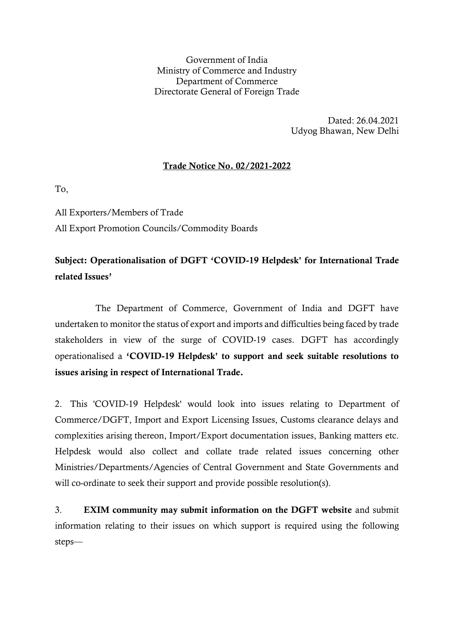Government of India Ministry of Commerce and Industry Department of Commerce Directorate General of Foreign Trade

> Dated: 26.04.2021 Udyog Bhawan, New Delhi

## Trade Notice No. 02/2021-2022

To,

All Exporters/Members of Trade All Export Promotion Councils/Commodity Boards

## Subject: Operationalisation of DGFT 'COVID-19 Helpdesk' for International Trade related Issues'

 The Department of Commerce, Government of India and DGFT have undertaken to monitor the status of export and imports and difficulties being faced by trade stakeholders in view of the surge of COVID-19 cases. DGFT has accordingly operationalised a 'COVID-19 Helpdesk' to support and seek suitable resolutions to issues arising in respect of International Trade.

2. This 'COVID-19 Helpdesk' would look into issues relating to Department of Commerce/DGFT, Import and Export Licensing Issues, Customs clearance delays and complexities arising thereon, Import/Export documentation issues, Banking matters etc. Helpdesk would also collect and collate trade related issues concerning other Ministries/Departments/Agencies of Central Government and State Governments and will co-ordinate to seek their support and provide possible resolution(s).

3. EXIM community may submit information on the DGFT website and submit information relating to their issues on which support is required using the following steps—